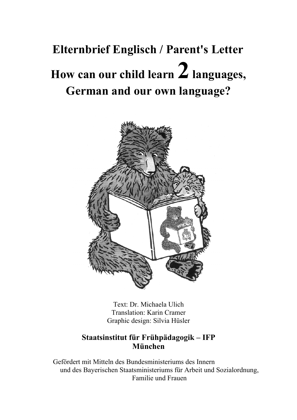# **Elternbrief Englisch / Parent's Letter How can our child learn 2 languages, German and our own language?**



Text: Dr. Michaela Ulich Translation: Karin Cramer Graphic design: Silvia Hüsler

## **Staatsinstitut für Frühpädagogik – IFP München**

Gefördert mit Mitteln des Bundesministeriums des Innern und des Bayerischen Staatsministeriums für Arbeit und Sozialordnung, Familie und Frauen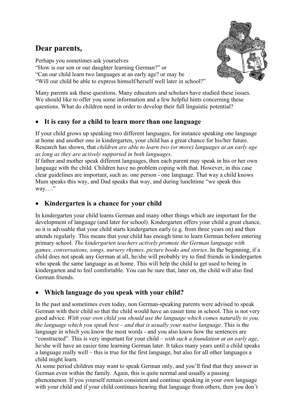## **Dear parents,**

Perhaps you sometimes ask yourselves "How is our son or our daughter learning German?" or "Can our child learn two languages at an early age? or may be "Will our child be able to express himself/herself well later in school?"

Many parents ask these questions. Many educators and scholars have studied these issues. We should like to offer you some information and a few helpful hints concerning these questions. What do children need in order to develop their full linguistic potential?

### It is easy for a child to learn more than one language

If your child grows up speaking two different languages, for instance speaking one language at home and another one in kindergarten, your child has a great chance for his/her future. Research has shown, that *children are able to learn two (or more) languages at an early age as long as they are actively supported in both languages*.

If father and mother speak different languages, then each parent may speak in his or her own language with the child. Children have no problem coping with that. However, in this case clear guidelines are important, such as: one person - one language. That way a child knows Mum speaks this way, and Dad speaks that way, and during lunchtime "we speak this way...."

#### · **Kindergarten is a chance for your child**

In kindergarten your child learns German and many other things which are important for the development of language (and later for school). Kindergarten offers your child a great chance, so it is advisable that your child starts kindergarten early (e.g. from three years on) and then attends regularly. This means that your child has enough time to learn German before entering primary school. *The kindergarten teachers actively promote the German language with games, conversations, songs, nursery rhymes, picture books and stories*. In the beginning, if a child does not speak any German at all, he/she will probably try to find friends in kindergarten who speak the same language as at home. This will help the child to get used to being in kindergarten and to feel comfortable. You can be sure that, later on, the child will also find German friends.

#### · **Which language do you speak with your child?**

In the past and sometimes even today, non German-speaking parents were advised to speak German with their child so that the child would have an easier time in school. This is not very good advice. *With your own child you should use the language which comes naturally to you, the language which you speak best – and that is usually your native language*. This is the language in which you know the most words - and you also know how the sentences are "constructed". This is very important for your child – *with such a foundation at an early age*, he/she will have an easier time learning German later. It takes many years until a child speaks a language really well – this is true for the first language, but also for all other languages a child might learn.

At some period children may want to speak German only, and you'll find that they answer in German even within the family. Again, this is quite normal and usually a passing phenomenon. If you yourself remain consistent and continue speaking in your own language with your child and if your child continues hearing that language from others, then you don't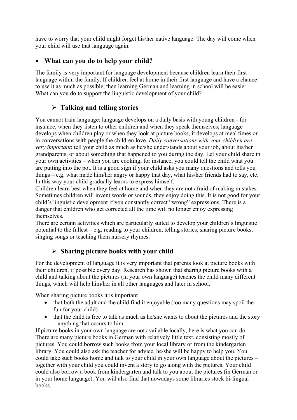have to worry that your child might forget his/her native language. The day will come when your child will use that language again.

#### · **What can you do to help your child?**

The family is very important for language development because children learn their first language within the family. If children feel at home in their first language and have a chance to use it as much as possible, then learning German and learning in school will be easier. What can you do to support the linguistic development of your child?

### ÿ **Talking and telling stories**

You cannot train language; language develops on a daily basis with young children - for instance, when they listen to other children and when they speak themselves; language develops when children play or when they look at picture books, it develops at meal times or in conversations with people the children love. *Daily conversations with your children are very important*: tell your child as much as he/she understands about your job, about his/her grandparents, or about something that happened to you during the day. Let your child share in your own activities – when you are cooking, for instance, you could tell the child what you are putting into the pot. It is a good sign if your child asks you many questions and tells you things – e.g. what made him/her angry or happy that day, what his/her friends had to say, etc. In this way your child gradually learns to express himself.

Children learn best when they feel at home and when they are not afraid of making mistakes. Sometimes children will invent words or sounds, they enjoy doing this. It is not good for your child's linguistic development if you constantly correct "wrong" expressions. There is a danger that children who get corrected all the time will no longer enjoy expressing themselves.

There are certain activities which are particularly suited to develop your children's linguistic potential to the fullest – e.g. reading to your children, telling stories, sharing picture books, singing songs or teaching them nursery rhymes.

#### ÿ **Sharing picture books with your child**

For the development of language it is very important that parents look at picture books with their children, if possible every day. Research has shown that sharing picture books with a child and talking about the pictures (in your own language) teaches the child many different things, which will help him/her in all other languages and later in school.

When sharing picture books it is important

- that both the adult and the child find it enjoyable (too many questions may spoil the fun for your child)
- that the child is free to talk as much as he/she wants to about the pictures and the story – anything that occurs to him

If picture books in your own language are not available locally, here is what you can do: There are many picture books in German with relatively little text, consisting mostly of pictures. You could borrow such books from your local library or from the kindergarten library. You could also ask the teacher for advice, he/she will be happy to help you. You could take such books home and talk to your child in your own language about the pictures – together with your child you could invent a story to go along with the pictures. Your child could also borrow a book from kindergarten and talk to you about the pictures (in German or in your home language). You will also find that nowadays some libraries stock bi-lingual books.